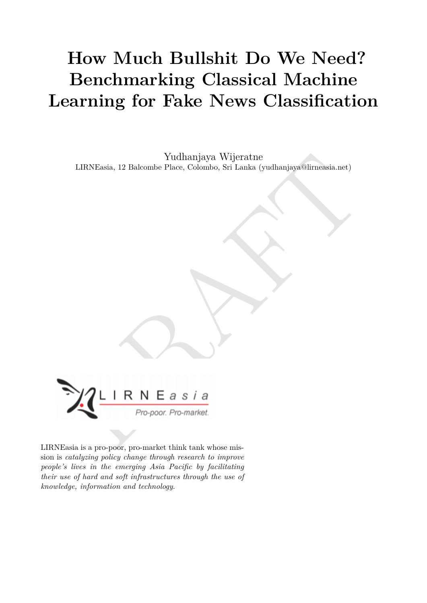# **How Much Bullshit Do We Need? Benchmarking Classical Machine Learning for Fake News Classification**

Yudhanjaya Wijeratne LIRNEasia, 12 Balcombe Place, Colombo, Sri Lanka (yudhanjaya@lirneasia.net)



LIRNEasia is a pro-poor, pro-market think tank whose mission is *catalyzing policy change through research to improve people's lives in the emerging Asia Pacific by facilitating their use of hard and soft infrastructures through the use of knowledge, information and technology*.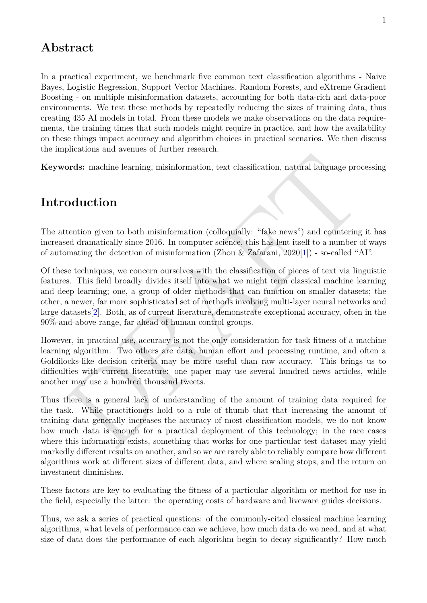### **Abstract**

In a practical experiment, we benchmark five common text classification algorithms - Naive Bayes, Logistic Regression, Support Vector Machines, Random Forests, and eXtreme Gradient Boosting - on multiple misinformation datasets, accounting for both data-rich and data-poor environments. We test these methods by repeatedly reducing the sizes of training data, thus creating 435 AI models in total. From these models we make observations on the data requirements, the training times that such models might require in practice, and how the availability on these things impact accuracy and algorithm choices in practical scenarios. We then discuss the implications and avenues of further research.

**Keywords:** machine learning, misinformation, text classification, natural language processing

### **Introduction**

The attention given to both misinformation (colloquially: "fake news") and countering it has increased dramatically since 2016. In computer science, this has lent itself to a number of ways of automating the detection of misinformation (Zhou & Zafarani, 2020[1]) - so-called "AI".

**condetion** given to both misinformation, text classification, natural language processing<br> **Odluction**<br> **Odluction**<br> **Odluction**<br> **Odluction**<br> **Odluction**<br> **Odluction**<br> **Odluction**<br> **Odluction**<br> **Odluction**<br> **Odluction**<br> Of these techniques, we concern ourselves with the classification of pieces of text via linguistic features. This field broadly divides itself into what we might term classical machine learning and deep learning; one, a group of older methods that can function on smaller datasets; the other, a newer, far more sophisticated set of methods involving multi-layer neural networks and large datasets[2]. Both, as of current literature, demonstrate exceptional accuracy, often in the 90%-and-above range, far ahead of human control groups.

However, in practical use, accuracy is not the only consideration for task fitness of a machine learning algorithm. Two others are data, human effort and processing runtime, and often a Goldilocks-like decision criteria may be more useful than raw accuracy. This brings us to difficulties with current literature: one paper may use several hundred news articles, while another may use a hundred thousand tweets.

Thus there is a general lack of understanding of the amount of training data required for the task. While practitioners hold to a rule of thumb that that increasing the amount of training data generally increases the accuracy of most classification models, we do not know how much data is enough for a practical deployment of this technology; in the rare cases where this information exists, something that works for one particular test dataset may yield markedly different results on another, and so we are rarely able to reliably compare how different algorithms work at different sizes of different data, and where scaling stops, and the return on investment diminishes.

These factors are key to evaluating the fitness of a particular algorithm or method for use in the field, especially the latter: the operating costs of hardware and liveware guides decisions.

Thus, we ask a series of practical questions: of the commonly-cited classical machine learning algorithms, what levels of performance can we achieve, how much data do we need, and at what size of data does the performance of each algorithm begin to decay significantly? How much

1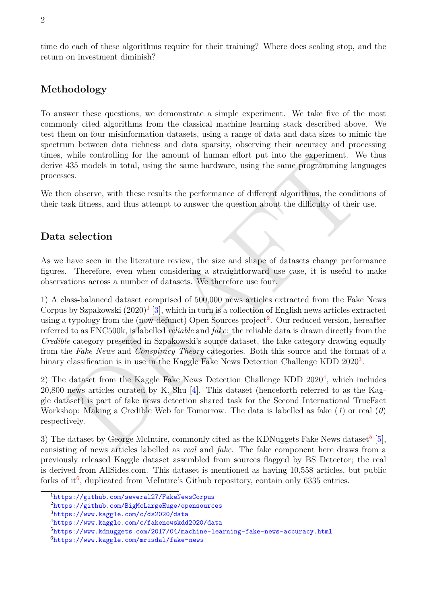time do each of these algorithms require for their training? Where does scaling stop, and the return on investment diminish?

#### **Methodology**

To answer these questions, we demonstrate a simple experiment. We take five of the most commonly cited algorithms from the classical machine learning stack described above. We test them on four misinformation datasets, using a range of data and data sizes to mimic the spectrum between data richness and data sparsity, observing their accuracy and processing times, while controlling for the amount of human effort put into the experiment. We thus derive 435 models in total, using the same hardware, using the same programming languages processes.

We then observe, with these results the performance of different algorithms, the conditions of their task fitness, and thus attempt to answer the question about the difficulty of their use.

#### **Data selection**

As we have seen in the literature review, the size and shape of datasets change performance figures. Therefore, even when considering a straightforward use case, it is useful to make observations across a number of datasets. We therefore use four.

while controlling for the amount of human effort put into the experiment. We thus<br>smootles in total, using the same hardware, using the same programming languages<br>ses.<br>The shore, with these results the performance of diff 1) A class-balanced dataset comprised of 500,000 news articles extracted from the Fake News Corpus by Szpakowski  $(2020)^{1}$  [3], which in turn is a collection of English news articles extracted using a typology from the (now-defunct) Open Sources project<sup>2</sup>. Our reduced version, hereafter referred to as FNC500k, is labelled *reliable* and *fake*: the reliable data is drawn directly from the *Credible* category presented in Szpakowski's source dataset, the fake category drawing equally from the *Fake News* and *Conspiracy Theory* categories. Both this source and the format of a binary classification is in use in the Kaggle Fake News Detection Challenge KDD  $2020<sup>3</sup>$ .

2) The dataset from the Kaggle Fake News Detection Challenge KDD  $2020<sup>4</sup>$ , which includes 20,800 news articles curated by K. Shu [4]. This dataset (henceforth referred to as the Kaggle dataset) is part of fake news detection shared task for the Second International TrueFact Workshop: Making a Credible Web for Tomorrow. The data is labelled as fake (*1*) or real (*0*) respectively.

3) The dataset by George McIntire, commonly cited as the KDNuggets Fake News dataset<sup>[5](#page-2-4)</sup> [\[5](#page-11-4)], consisting of news articles labelled as *real* and *fake*. The fake component here draws from a previously released Kaggle dataset assembled from sources flagged by BS Detector; the real is derived from AllSides.com. This dataset is mentioned as having 10,558 articles, but public forks of it<sup>[6](#page-2-5)</sup>, duplicated from McIntire's Github repository, contain only 6335 entries.

<span id="page-2-0"></span><sup>1</sup><https://github.com/several27/FakeNewsCorpus>

<span id="page-2-1"></span><sup>2</sup><https://github.com/BigMcLargeHuge/opensources>

<span id="page-2-2"></span><sup>3</sup><https://www.kaggle.com/c/ds2020/data>

<span id="page-2-3"></span><sup>4</sup><https://www.kaggle.com/c/fakenewskdd2020/data>

<span id="page-2-4"></span><sup>5</sup><https://www.kdnuggets.com/2017/04/machine-learning-fake-news-accuracy.html>

<span id="page-2-5"></span><sup>6</sup><https://www.kaggle.com/mrisdal/fake-news>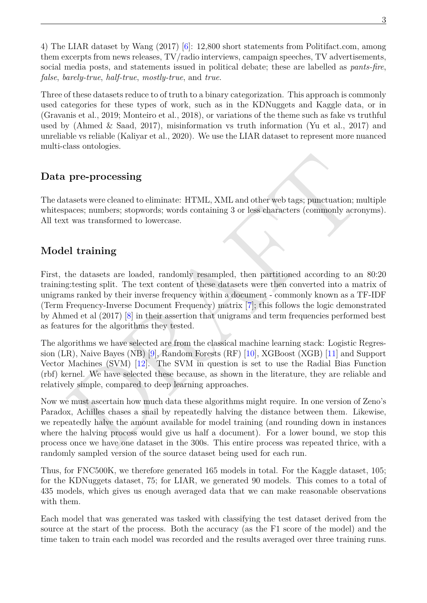4) The LIAR dataset by Wang (2017) [[6\]](#page-11-5): 12,800 short statements from Politifact.com, among them excerpts from news releases, TV/radio interviews, campaign speeches, TV advertisements, social media posts, and statements issued in political debate; these are labelled as *pants-fire*, *false*, *barely-true*, *half-true*, *mostly-true*, and *true*.

Three of these datasets reduce to of truth to a binary categorization. This approach is commonly used categories for these types of work, such as in the KDNuggets and Kaggle data, or in (Gravanis et al., 2019; Monteiro et al., 2018), or variations of the theme such as fake vs truthful used by (Ahmed & Saad, 2017), misinformation vs truth information (Yu et al., 2017) and unreliable vs reliable (Kaliyar et al., 2020). We use the LIAR dataset to represent more nuanced multi-class ontologies.

#### **Data pre-processing**

The datasets were cleaned to eliminate: HTML, XML and other web tags; punctuation; multiple whitespaces; numbers; stopwords; words containing 3 or less characters (commonly acronyms). All text was transformed to lowercase.

#### **Model training**

**pre-processing**<br> **pre-processing**<br> **trasets were deaned to eliminate:** HTML, XML and other web tags; punctuation; multiple<br>
preces; numbers, stopwords; words containing 3 or less characters (commonly acronyms).<br>
t was tr First, the datasets are loaded, randomly resampled, then partitioned according to an 80:20 training:testing split. The text content of these datasets were then converted into a matrix of unigrams ranked by their inverse frequency within a document - commonly known as a TF-IDF (Term Frequency-Inverse Document Frequency) matrix [7]; this follows the logic demonstrated by Ahmed et al (2017) [8] in their assertion that unigrams and term frequencies performed best as features for the algorithms they tested.

The algorithms we have selected are from the classical machine learning stack: Logistic Regression (LR), Naive Bayes (NB) [9], Random Forests (RF) [10], XGBoost (XGB) [11] and Support Vector Machines (SVM) [12]. The SVM in question is set to use the Radial Bias Function (rbf) kernel. We have selected these because, as shown in the literature, they are reliable and relatively simple, compared to deep learning approaches.

Now we must ascertain how much data these algorithms might require. In one version of Zeno's Paradox, Achilles chases a snail by repeatedly halving the distance between them. Likewise, we repeatedly halve the amount available for model training (and rounding down in instances where the halving process would give us half a document). For a lower bound, we stop this process once we have one dataset in the 300s. This entire process was repeated thrice, with a randomly sampled version of the source dataset being used for each run.

Thus, for FNC500K, we therefore generated 165 models in total. For the Kaggle dataset, 105; for the KDNuggets dataset, 75; for LIAR, we generated 90 models. This comes to a total of 435 models, which gives us enough averaged data that we can make reasonable observations with them.

Each model that was generated was tasked with classifying the test dataset derived from the source at the start of the process. Both the accuracy (as the F1 score of the model) and the time taken to train each model was recorded and the results averaged over three training runs.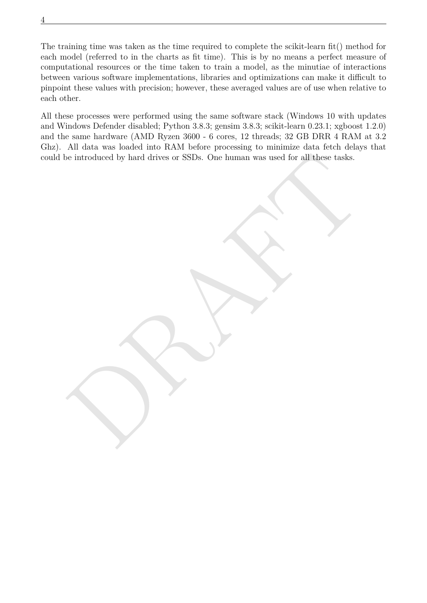The training time was taken as the time required to complete the scikit-learn fit() method for each model (referred to in the charts as fit time). This is by no means a perfect measure of computational resources or the time taken to train a model, as the minutiae of interactions between various software implementations, libraries and optimizations can make it difficult to pinpoint these values with precision; however, these averaged values are of use when relative to each other.

4

be introduced by hard drives or SSDs. One human was used for all these tasks. All these processes were performed using the same software stack (Windows 10 with updates and Windows Defender disabled; Python 3.8.3; gensim 3.8.3; scikit-learn 0.23.1; xgboost 1.2.0) and the same hardware (AMD Ryzen 3600 - 6 cores, 12 threads; 32 GB DRR 4 RAM at 3.2 Ghz). All data was loaded into RAM before processing to minimize data fetch delays that could be introduced by hard drives or SSDs. One human was used for all these tasks.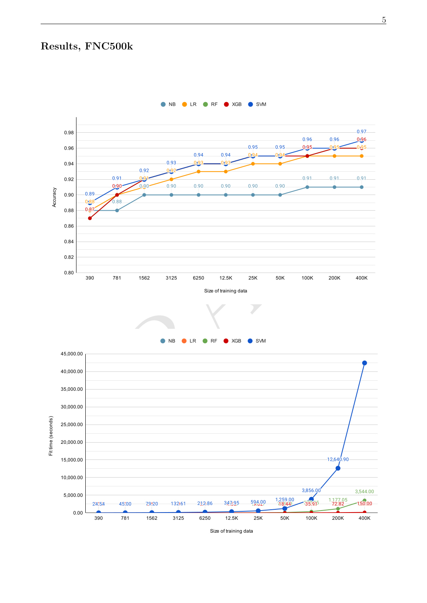### **Results, FNC500k**

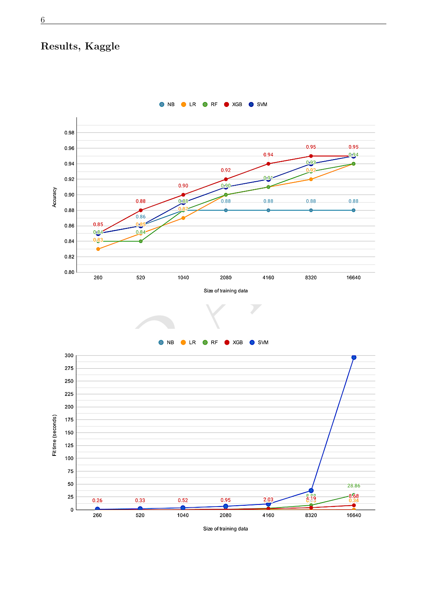### **Results, Kaggle**



6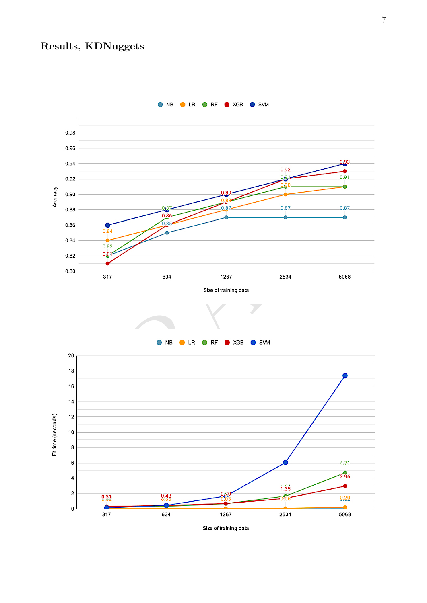### **Results, KDNuggets**



ONB OLR ORF OXGB O SVM

7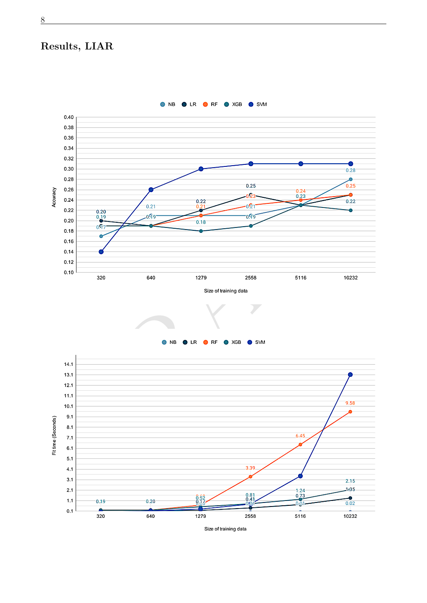### **Results, LIAR**

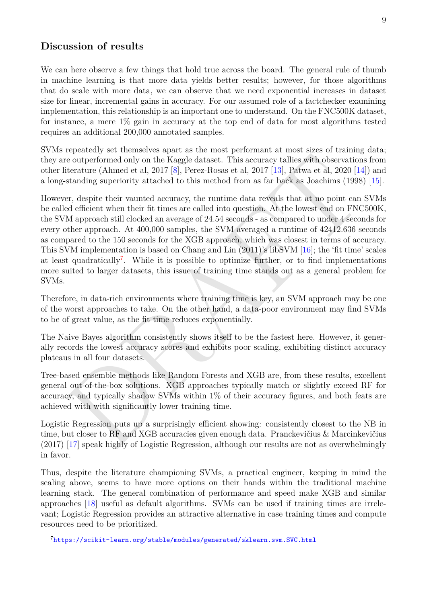#### 9

#### **Discussion of results**

We can here observe a few things that hold true across the board. The general rule of thumb in machine learning is that more data yields better results; however, for those algorithms that do scale with more data, we can observe that we need exponential increases in dataset size for linear, incremental gains in accuracy. For our assumed role of a factchecker examining implementation, this relationship is an important one to understand. On the FNC500K dataset, for instance, a mere 1% gain in accuracy at the top end of data for most algorithms tested requires an additional 200,000 annotated samples.

SVMs repeatedly set themselves apart as the most performant at most sizes of training data; they are outperformed only on the Kaggle dataset. This accuracy tallies with observations from other literature (Ahmed et al, 2017 [8], Perez-Rosas et al, 2017 [13], Patwa et al, 2020 [14]) and a long-standing superiority attached to this method from as far back as Joachims (1998) [[15](#page-11-14)].

represent on the Kagele datasets. [T](#page-11-12)his accuracy tallies with observations from<br>content only on the Kaggle dataset. This accuracy tallies with observations from<br>istanding superiority attached to this method from as far back However, despite their vaunted accuracy, the runtime data reveals that at no point can SVMs be called efficient when their fit times are called into question. At the lowest end on FNC500K, the SVM approach still clocked an average of 24.54 seconds - as compared to under 4 seconds for every other approach. At 400,000 samples, the SVM averaged a runtime of 42412.636 seconds as compared to the 150 seconds for the XGB approach, which was closest in terms of accuracy. This SVM implementation is based on Chang and Lin (2011)'s libSVM [16]; the 'fit time' scales at least quadratically<sup>7</sup>. While it is possible to optimize further, or to find implementations more suited to larger datasets, this issue of training time stands out as a general problem for SVMs.

Therefore, in data-rich environments where training time is key, an SVM approach may be one of the worst approaches to take. On the other hand, a data-poor environment may find SVMs to be of great value, as the fit time reduces exponentially.

The Naive Bayes algorithm consistently shows itself to be the fastest here. However, it generally records the lowest accuracy scores and exhibits poor scaling, exhibiting distinct accuracy plateaus in all four datasets.

Tree-based ensemble methods like Random Forests and XGB are, from these results, excellent general out-of-the-box solutions. XGB approaches typically match or slightly exceed RF for accuracy, and typically shadow SVMs within 1% of their accuracy figures, and both feats are achieved with with significantly lower training time.

Logistic Regression puts up a surprisingly efficient showing: consistently closest to the NB in time, but closer to RF and XGB accuracies given enough data. Pranckevičius & Marcinkevičius (2017) [17] speak highly of Logistic Regression, although our results are not as overwhelmingly in favor.

Thus, despite the literature championing SVMs, a practical engineer, keeping in mind the scaling above, seems to have more options on their hands within the traditional machine learning stack. The general combination of performance and speed make XGB and similar approaches [\[18\]](#page-11-17) useful as default algorithms. SVMs can be used if training times are irrelevant; Logistic Regression provides an attractive alternative in case training times and compute resources need to be prioritized.

<span id="page-9-0"></span><sup>7</sup><https://scikit-learn.org/stable/modules/generated/sklearn.svm.SVC.html>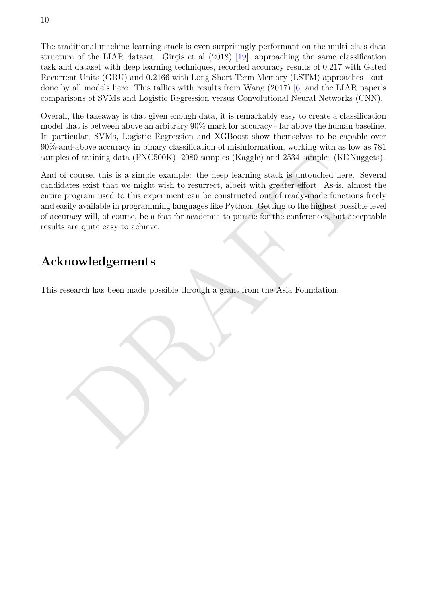The traditional machine learning stack is even surprisingly performant on the multi-class data structure of the LIAR dataset. Girgis et al (2018) [[19](#page-12-0)], approaching the same classification task and dataset with deep learning techniques, recorded accuracy results of 0.217 with Gated Recurrent Units (GRU) and 0.2166 with Long Short-Term Memory (LSTM) approaches - outdone by all models here. This tallies with results from Wang (2017) [[6\]](#page-11-5) and the LIAR paper's comparisons of SVMs and Logistic Regression versus Convolutional Neural Networks (CNN).

Overall, the takeaway is that given enough data, it is remarkably easy to create a classification model that is between above an arbitrary 90% mark for accuracy - far above the human baseline. In particular, SVMs, Logistic Regression and XGBoost show themselves to be capable over 90%-and-above accuracy in binary classification of misinformation, working with as low as 781 samples of training data (FNC500K), 2080 samples (Kaggle) and 2534 samples (KDNuggets).

s of training data (FNC500K), 2080 samples (Kaggle) and 2534 samples (KDNuggets).<br>
f course, this is a simple example: the deep learning stack is untouched here. Several<br>
ate exist that we might wish to resurrect, albeit w And of course, this is a simple example: the deep learning stack is untouched here. Several candidates exist that we might wish to resurrect, albeit with greater effort. As-is, almost the entire program used to this experiment can be constructed out of ready-made functions freely and easily available in programming languages like Python. Getting to the highest possible level of accuracy will, of course, be a feat for academia to pursue for the conferences, but acceptable results are quite easy to achieve.

## **Acknowledgements**

This research has been made possible through a grant from the Asia Foundation.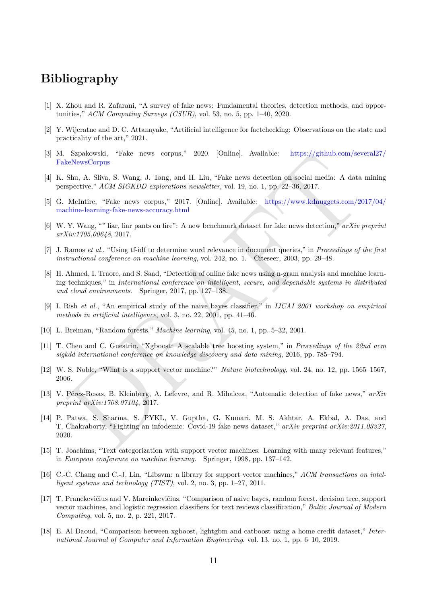#### **Bibliography**

- <span id="page-11-0"></span>[1] X. Zhou and R. Zafarani, "A survey of fake news: Fundamental theories, detection methods, and opportunities," *ACM Computing Surveys (CSUR)*, vol. 53, no. 5, pp. 1–40, 2020.
- <span id="page-11-1"></span>[2] Y. Wijeratne and D. C. Attanayake, "Artificial intelligence for factchecking: Observations on the state and practicality of the art," 2021.
- <span id="page-11-2"></span>[3] M. Szpakowski, "Fake news corpus," 2020. [Online]. Available: [https://github.com/several27/](https://github.com/several27/FakeNewsCorpus) FakeNewsCorpus
- <span id="page-11-3"></span>[4] K. Shu, A. Sliva, S. Wang, J. Tang, and H. Liu, "Fake news detection on social media: A data mining perspective," *ACM SIGKDD explorations newsletter*, vol. 19, no. 1, pp. 22–36, 2017.
- <span id="page-11-4"></span>[5] G. McIntire, "Fake news corpus," 2017. [Online]. Available: https://www.kdnuggets.com/2017/04/ machine-learning-fake-news-accuracy.html
- <span id="page-11-5"></span>[6] W. Y. Wang, "" liar, liar pants on fire": A new benchmark dataset for fake news detection," *arXiv preprint arXiv:1705.00648*, 2017.
- <span id="page-11-6"></span>[7] J. Ramos *et al.*, "Using tf-idf to determine word relevance in document queries," in *Proceedings of the first instructional conference on machine learning*, vol. 242, no. 1. Citeseer, 2003, pp. 29–48.
- <span id="page-11-7"></span>[8] H. Ahmed, I. Traore, and S. Saad, "Detection of online fake news using n-gram analysis and machine learning techniques," in *International conference on intelligent, secure, and dependable systems in distributed and cloud environments*. Springer, 2017, pp. 127–138.
- <span id="page-11-8"></span>[9] I. Rish *et al.*, "An empirical study of the naive bayes classifier," in *IJCAI 2001 workshop on empirical methods in artificial intelligence*, vol. 3, no. 22, 2001, pp. 41–46.
- <span id="page-11-9"></span>[10] L. Breiman, "Random forests," *Machine learning*, vol. 45, no. 1, pp. 5–32, 2001.
- <span id="page-11-10"></span>[11] T. Chen and C. Guestrin, "Xgboost: A scalable tree boosting system," in *Proceedings of the 22nd acm sigkdd international conference on knowledge discovery and data mining*, 2016, pp. 785–794.
- <span id="page-11-11"></span>[12] W. S. Noble, "What is a support vector machine?" *Nature biotechnology*, vol. 24, no. 12, pp. 1565–1567, 2006.
- <span id="page-11-13"></span><span id="page-11-12"></span>[13] V. Pérez-Rosas, B. Kleinberg, A. Lefevre, and R. Mihalcea, "Automatic detection of fake news," *arXiv preprint arXiv:1708.07104*, 2017.
- Spakeswish, "Fake news corpus," 2020. (Online). Available: https://github.com/several277<br>Shu, A. Slivu, S. Wang, J. Tung, and H. Liu, "Fake news detection on social media: A data mining<br>preciive," AGM SIGKDD explorations [14] P. Patwa, S. Sharma, S. PYKL, V. Guptha, G. Kumari, M. S. Akhtar, A. Ekbal, A. Das, and T. Chakraborty, "Fighting an infodemic: Covid-19 fake news dataset," *arXiv preprint arXiv:2011.03327*, 2020.
- <span id="page-11-14"></span>[15] T. Joachims, "Text categorization with support vector machines: Learning with many relevant features," in *European conference on machine learning*. Springer, 1998, pp. 137–142.
- <span id="page-11-15"></span>[16] C.-C. Chang and C.-J. Lin, "Libsvm: a library for support vector machines," *ACM transactions on intelligent systems and technology (TIST)*, vol. 2, no. 3, pp. 1–27, 2011.
- <span id="page-11-16"></span>[17] T. Pranckevičius and V. Marcinkevičius, "Comparison of naive bayes, random forest, decision tree, support vector machines, and logistic regression classifiers for text reviews classification," *Baltic Journal of Modern Computing*, vol. 5, no. 2, p. 221, 2017.
- <span id="page-11-17"></span>[18] E. Al Daoud, "Comparison between xgboost, lightgbm and catboost using a home credit dataset," *International Journal of Computer and Information Engineering*, vol. 13, no. 1, pp. 6–10, 2019.